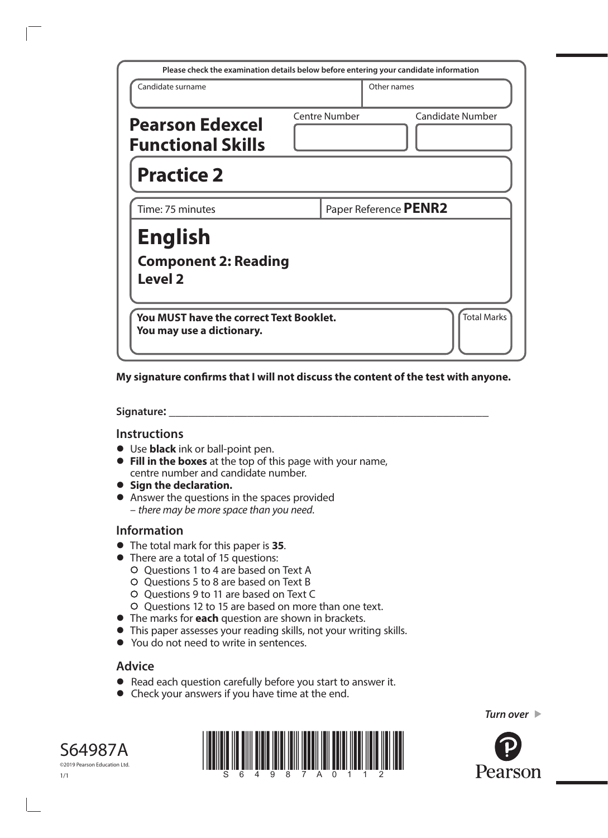| Please check the examination details below before entering your candidate information |               |                              |                    |
|---------------------------------------------------------------------------------------|---------------|------------------------------|--------------------|
| Candidate surname                                                                     |               | Other names                  |                    |
| <b>Pearson Edexcel</b><br><b>Functional Skills</b>                                    | Centre Number |                              | Candidate Number   |
| <b>Practice 2</b>                                                                     |               |                              |                    |
| Time: 75 minutes                                                                      |               | Paper Reference <b>PENR2</b> |                    |
| <b>English</b>                                                                        |               |                              |                    |
| <b>Component 2: Reading</b><br><b>Level 2</b>                                         |               |                              |                    |
| <b>You MUST have the correct Text Booklet.</b><br>You may use a dictionary.           |               |                              | <b>Total Marks</b> |

### **My signature confirms that I will not discuss the content of the test with anyone.**

#### **Signature: \_\_\_\_\_\_\_\_\_\_\_\_\_\_\_\_\_\_\_\_\_\_\_\_\_\_\_\_\_\_\_\_\_\_\_\_\_\_\_\_\_\_\_\_\_\_\_\_\_**

### **Instructions**

- **•** Use **black** ink or ball-point pen.
- **• Fill in the boxes** at the top of this page with your name, centre number and candidate number.
- **• Sign the declaration.**
- **•** Answer the questions in the spaces provided – *there may be more space than you need*.

### **Information**

- **•** The total mark for this paper is **35**.
- **•** There are a total of 15 questions:
	- **•** Questions 1 to 4 are based on Text A
	- **•** Questions 5 to 8 are based on Text B
	- **•** Questions 9 to 11 are based on Text C
	- **•** Questions 12 to 15 are based on more than one text.
- **•** The marks for **each** question are shown in brackets.
- **•** This paper assesses your reading skills, not your writing skills.
- **•** You do not need to write in sentences.

### **Advice**

- **•** Read each question carefully before you start to answer it.
- **•** Check your answers if you have time at the end.





*Turn over* 

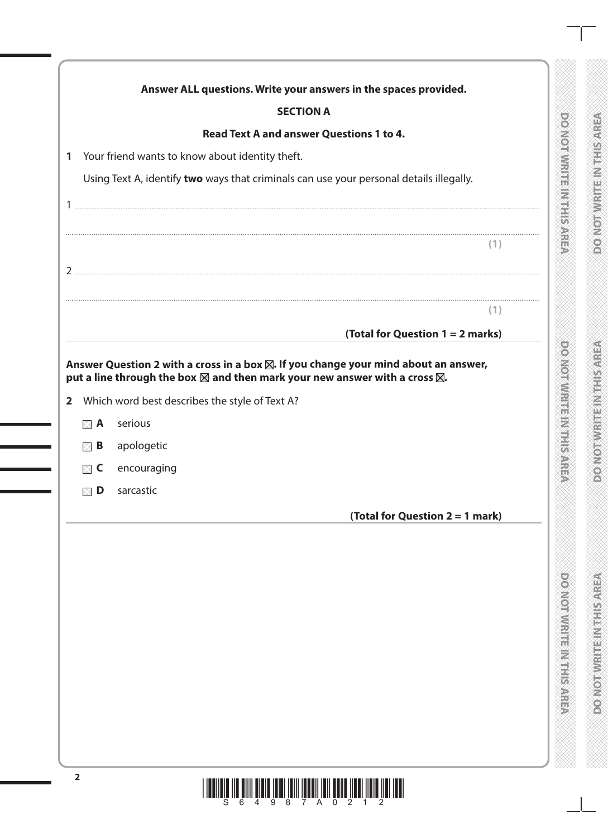|                   | <b>SECTION A</b>                                                                                                                                                                                  |                                   |
|-------------------|---------------------------------------------------------------------------------------------------------------------------------------------------------------------------------------------------|-----------------------------------|
|                   | <b>Read Text A and answer Questions 1 to 4.</b>                                                                                                                                                   |                                   |
| 1                 | Your friend wants to know about identity theft.                                                                                                                                                   |                                   |
|                   | Using Text A, identify two ways that criminals can use your personal details illegally.                                                                                                           |                                   |
|                   |                                                                                                                                                                                                   |                                   |
|                   |                                                                                                                                                                                                   | <b>DOOTOR WAS LEFT AND LOSTED</b> |
|                   |                                                                                                                                                                                                   |                                   |
| 2                 |                                                                                                                                                                                                   |                                   |
|                   | 11                                                                                                                                                                                                |                                   |
|                   | (Total for Question 1 = 2 marks)                                                                                                                                                                  |                                   |
|                   | Answer Question 2 with a cross in a box $\boxtimes$ . If you change your mind about an answer,<br>put a line through the box $\boxtimes$ and then mark your new answer with a cross $\boxtimes$ . | <b>PONONNIAN ESTATE</b>           |
| $\overline{2}$    | Which word best describes the style of Text A?                                                                                                                                                    |                                   |
| $\mathbf{A}$<br>B | serious<br>apologetic                                                                                                                                                                             |                                   |
| $\boxtimes$ C     | encouraging                                                                                                                                                                                       |                                   |
| D                 | sarcastic                                                                                                                                                                                         | ÌЙ                                |
|                   | (Total for Question 2 = 1 mark)                                                                                                                                                                   |                                   |
|                   |                                                                                                                                                                                                   |                                   |
|                   |                                                                                                                                                                                                   |                                   |
|                   |                                                                                                                                                                                                   | <b>DOMORATION SERVICES</b>        |
|                   |                                                                                                                                                                                                   |                                   |
|                   |                                                                                                                                                                                                   |                                   |
|                   |                                                                                                                                                                                                   |                                   |
|                   |                                                                                                                                                                                                   |                                   |
|                   |                                                                                                                                                                                                   |                                   |
|                   |                                                                                                                                                                                                   |                                   |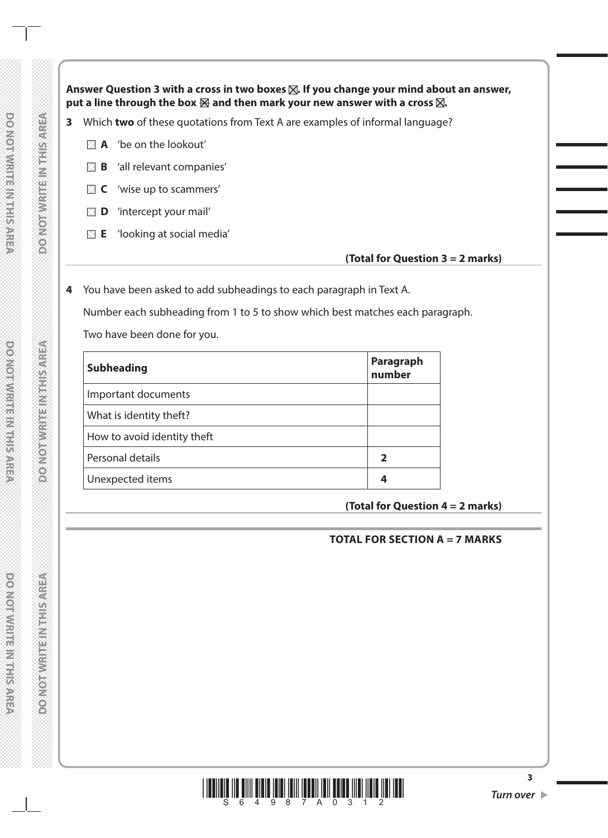### **Answer Question 3 with a cross in two boxes . If you change your mind about an answer,**  put a line through the box  $\mathbb{\times}$  and then mark your new answer with a cross  $\mathbb{X}$ .

- **3** Which **two** of these quotations from Text A are examples of informal language?
	- **A** 'be on the lookout'
	- **B** 'all relevant companies'
	- **C** 'wise up to scammers'
	- **D** 'intercept your mail'
	- **E** 'looking at social media'

## **(Total for Question 3 = 2 marks)**

**4** You have been asked to add subheadings to each paragraph in Text A.

Number each subheading from 1 to 5 to show which best matches each paragraph.

Two have been done for you.

| <b>Subheading</b>           | Paragraph<br>number |
|-----------------------------|---------------------|
| Important documents         |                     |
| What is identity theft?     |                     |
| How to avoid identity theft |                     |
| Personal details            | 2                   |
| Unexpected items            |                     |

**(Total for Question 4 = 2 marks)**

# **TOTAL FOR SECTION A = 7 MARKS**

**DONORWING BRANCONG** 

**DO NOT WRITE IN THIS AREA DO NOT WRITE IN THIS AREA DO NOT WRITE IN THIS AREA**

**RESIDENTS IN STRAIGHTS** 

**MONOTHUR ITE IN THE OWNER** 

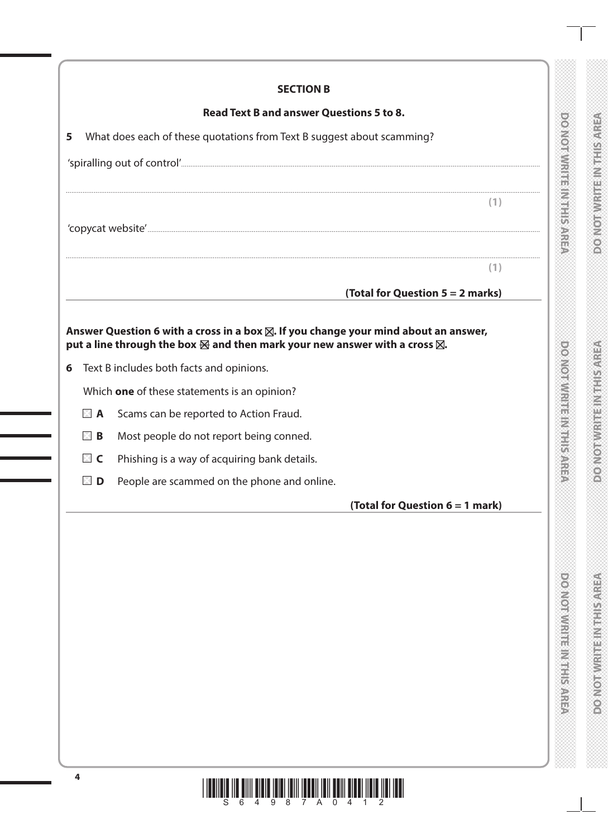|               | <b>Read Text B and answer Questions 5 to 8.</b>                                                                                                                                                                                                                                               |                             |
|---------------|-----------------------------------------------------------------------------------------------------------------------------------------------------------------------------------------------------------------------------------------------------------------------------------------------|-----------------------------|
| 5             | What does each of these quotations from Text B suggest about scamming?                                                                                                                                                                                                                        |                             |
|               |                                                                                                                                                                                                                                                                                               |                             |
|               | (1)                                                                                                                                                                                                                                                                                           | <b>DOMORAMENT NEWSPACE</b>  |
|               |                                                                                                                                                                                                                                                                                               |                             |
|               | (1)                                                                                                                                                                                                                                                                                           |                             |
|               | (Total for Question 5 = 2 marks)                                                                                                                                                                                                                                                              |                             |
| 6             | Answer Question 6 with a cross in a box $\boxtimes$ . If you change your mind about an answer,<br>put a line through the box $\boxtimes$ and then mark your new answer with a cross $\boxtimes$ .<br>Text B includes both facts and opinions.<br>Which one of these statements is an opinion? | <b>DOSTORY COMPANY</b>      |
| $\boxtimes$ A | Scams can be reported to Action Fraud.                                                                                                                                                                                                                                                        |                             |
| $\boxtimes$ B | Most people do not report being conned.                                                                                                                                                                                                                                                       |                             |
| $\boxtimes$ C | Phishing is a way of acquiring bank details.                                                                                                                                                                                                                                                  |                             |
| X<br>D        | People are scammed on the phone and online.                                                                                                                                                                                                                                                   |                             |
|               | (Total for Question 6 = 1 mark)                                                                                                                                                                                                                                                               |                             |
|               |                                                                                                                                                                                                                                                                                               | <b>PONORACION PRESSURES</b> |
| 4             |                                                                                                                                                                                                                                                                                               |                             |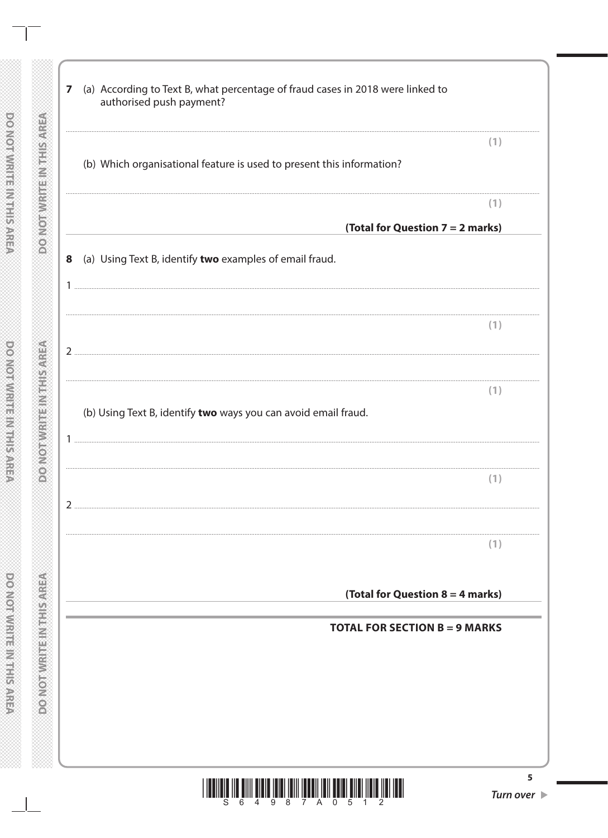|                | (1)                                                                   |
|----------------|-----------------------------------------------------------------------|
|                | (b) Which organisational feature is used to present this information? |
|                | (1)                                                                   |
|                | (Total for Question 7 = 2 marks)                                      |
| 8              | (a) Using Text B, identify two examples of email fraud.               |
| 1              |                                                                       |
|                | (1)                                                                   |
| $\overline{2}$ |                                                                       |
|                | (1)                                                                   |
|                | (b) Using Text B, identify two ways you can avoid email fraud.        |
| 1              |                                                                       |
|                | (1)                                                                   |
| $\overline{2}$ |                                                                       |
|                | (1)                                                                   |
|                |                                                                       |
|                | (Total for Question 8 = 4 marks)                                      |
|                | <b>TOTAL FOR SECTION B = 9 MARKS</b>                                  |
|                |                                                                       |
|                |                                                                       |
|                |                                                                       |

po Norwrania Militara

a ka

**DONOTWRITEINTHIS AREA**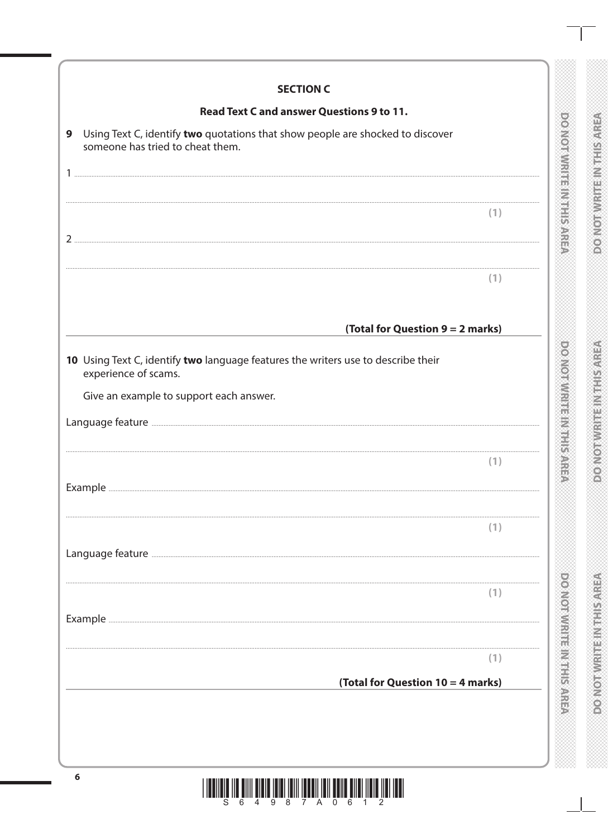| <b>Read Text C and answer Questions 9 to 11.</b>                                                                        |                                   |
|-------------------------------------------------------------------------------------------------------------------------|-----------------------------------|
| Using Text C, identify two quotations that show people are shocked to discover<br>9<br>someone has tried to cheat them. |                                   |
|                                                                                                                         |                                   |
|                                                                                                                         |                                   |
|                                                                                                                         | (1)                               |
| 2                                                                                                                       |                                   |
|                                                                                                                         |                                   |
|                                                                                                                         | (1)                               |
|                                                                                                                         |                                   |
|                                                                                                                         | (Total for Question 9 = 2 marks)  |
|                                                                                                                         |                                   |
| 10 Using Text C, identify two language features the writers use to describe their<br>experience of scams.               |                                   |
| Give an example to support each answer.                                                                                 |                                   |
|                                                                                                                         |                                   |
|                                                                                                                         |                                   |
|                                                                                                                         |                                   |
|                                                                                                                         |                                   |
|                                                                                                                         |                                   |
|                                                                                                                         |                                   |
|                                                                                                                         |                                   |
|                                                                                                                         |                                   |
|                                                                                                                         |                                   |
|                                                                                                                         |                                   |
|                                                                                                                         |                                   |
|                                                                                                                         |                                   |
|                                                                                                                         | (1)                               |
|                                                                                                                         | (Total for Question 10 = 4 marks) |

DO NOT WRITE IN THIS AREA

**REBASEL IN THE MOTOR CONCRET** 

DO NOTWRITE IN THIS AREA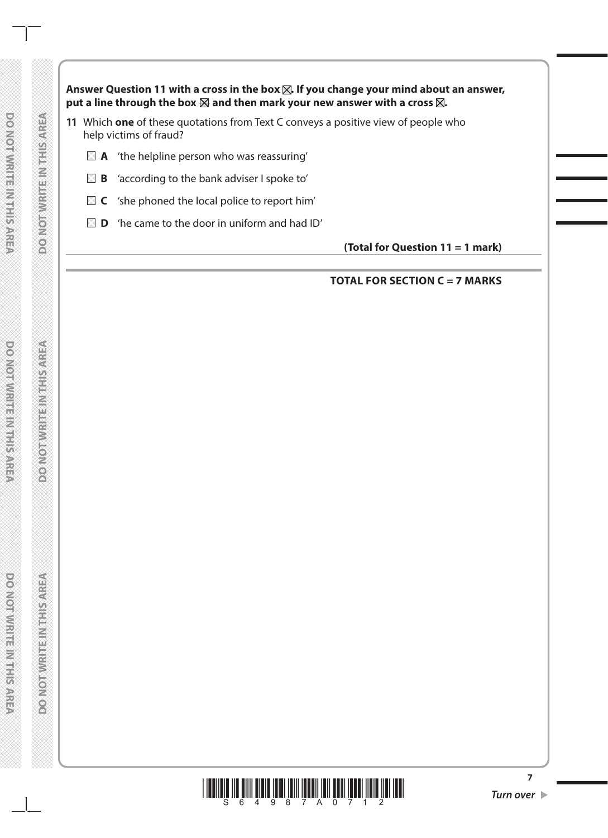### Answer Question 11 with a cross in the box  $\boxtimes$ . If you change your mind about an answer, put a line through the box  $\mathbb{\times}$  and then mark your new answer with a cross  $\mathbb{X}$ .

- **11** Which **one** of these quotations from Text C conveys a positive view of people who help victims of fraud?
	- **A** 'the helpline person who was reassuring'
	- **B** 'according to the bank adviser I spoke to'
	- C 'she phoned the local police to report him'
	- **D** 'he came to the door in uniform and had ID'

**(Total for Question 11 = 1 mark)**

## **TOTAL FOR SECTION C = 7 MARKS**

**DO NOT WRITE IN THIS AREA DO NOT WRITE IN THIS AREA DO NOT WRITE IN THIS AREA**

**POWORWARE NEWSPARE** 

**DO NOT WRITE IN THIS AREA**

**DONOTWHEINTHSAREA** 

**DONOTWRITE INTHISAREA** 

**MONOTHUR ITE IN THE OWNER**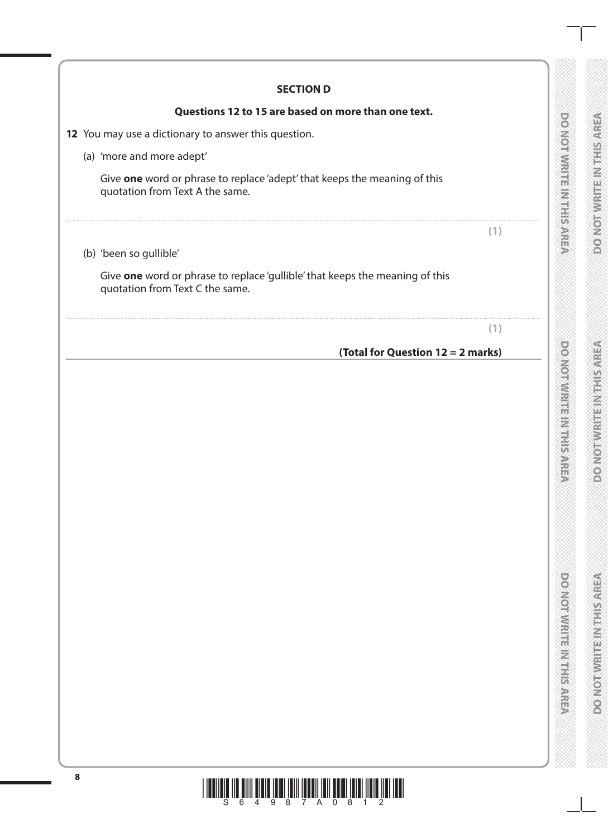| <b>SECTION D</b><br>Questions 12 to 15 are based on more than one text.                                                                                    |                             |                            |
|------------------------------------------------------------------------------------------------------------------------------------------------------------|-----------------------------|----------------------------|
| 12 You may use a dictionary to answer this question.                                                                                                       | ⊵                           |                            |
| (a) 'more and more adept'                                                                                                                                  |                             |                            |
| Give one word or phrase to replace 'adept' that keeps the meaning of this<br>quotation from Text A the same.                                               | Ŗ                           |                            |
| (1)<br>(b) 'been so gullible'                                                                                                                              |                             | a                          |
| Give one word or phrase to replace 'gullible' that keeps the meaning of this<br>quotation from Text C the same.                                            |                             |                            |
| (1)                                                                                                                                                        |                             |                            |
| (Total for Question 12 = 2 marks)                                                                                                                          |                             |                            |
|                                                                                                                                                            | 雭                           | ◘                          |
|                                                                                                                                                            | power was a man was a state | <b>MONO RUSS RESIDENCE</b> |
| 8<br><u>TII III II</u><br><u>TITI ITITI IITI ITITI </u><br><u> IIIII IIII IIII III</u><br>0<br>S<br>9<br>8<br>7 <sup>1</sup><br>Α<br>8<br>6<br>4<br>2<br>1 |                             |                            |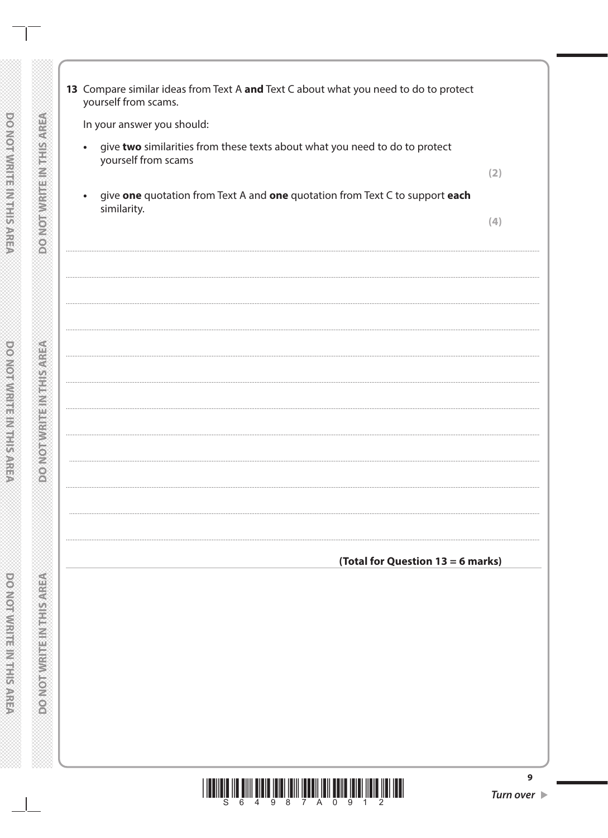| In your answer you should:       |                                                                              |     |
|----------------------------------|------------------------------------------------------------------------------|-----|
| $\bullet$<br>yourself from scams | give two similarities from these texts about what you need to do to protect  |     |
|                                  |                                                                              | (2) |
| $\bullet$<br>similarity.         | give one quotation from Text A and one quotation from Text C to support each |     |
|                                  |                                                                              | (4) |
|                                  |                                                                              |     |
|                                  |                                                                              |     |
|                                  |                                                                              |     |
|                                  |                                                                              |     |
|                                  |                                                                              |     |
|                                  |                                                                              |     |
|                                  |                                                                              |     |
|                                  |                                                                              |     |
|                                  |                                                                              |     |
|                                  |                                                                              |     |
|                                  |                                                                              |     |
|                                  |                                                                              |     |
|                                  |                                                                              |     |
|                                  | (Total for Question 13 = 6 marks)                                            |     |
|                                  |                                                                              |     |
|                                  |                                                                              |     |
|                                  |                                                                              |     |
|                                  |                                                                              |     |
|                                  |                                                                              |     |
|                                  |                                                                              |     |
|                                  |                                                                              |     |

 $\pm$ 

<u>man and a man and a man and a man and a man and a man and a man and a man and a man and a man and a man and an</u>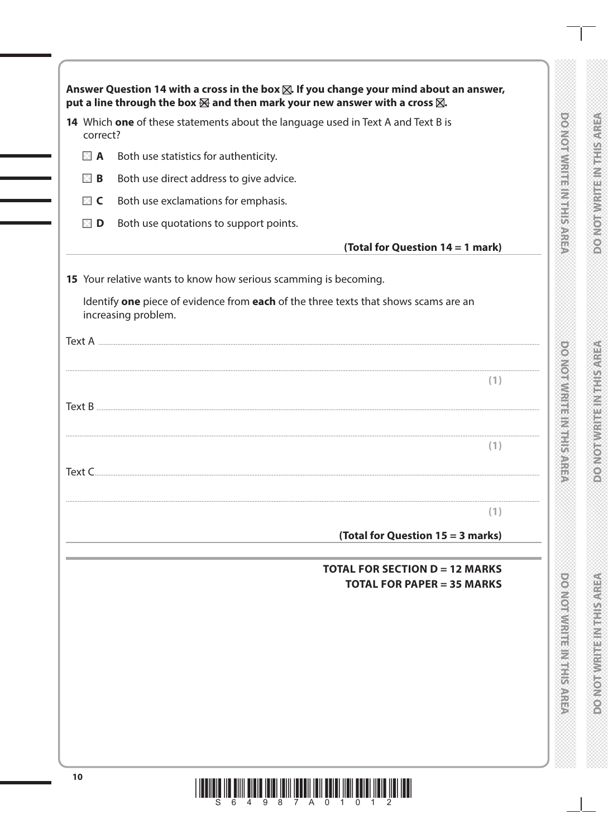| <b>DIOXICIAL REPORT DESCRIPTION</b><br>$\boxtimes$ A<br>Both use statistics for authenticity.<br>$\boxtimes$ B<br>Both use direct address to give advice.<br>$\boxtimes$ C<br>Both use exclamations for emphasis.<br>$\times$ D<br>Both use quotations to support points.<br>(Total for Question 14 = 1 mark)<br>15 Your relative wants to know how serious scamming is becoming.<br>Identify one piece of evidence from each of the three texts that shows scams are an<br>increasing problem.<br><b>PONIC REPAIR STREET</b><br>(1)<br>(1)<br>(1)<br>(Total for Question 15 = 3 marks)<br><b>TOTAL FOR SECTION D = 12 MARKS</b><br><b>TOTAL FOR PAPER = 35 MARKS</b> | correct? | put a line through the box $\boxtimes$ and then mark your new answer with a cross $\boxtimes$ .<br>14 Which one of these statements about the language used in Text A and Text B is |                                 |
|-----------------------------------------------------------------------------------------------------------------------------------------------------------------------------------------------------------------------------------------------------------------------------------------------------------------------------------------------------------------------------------------------------------------------------------------------------------------------------------------------------------------------------------------------------------------------------------------------------------------------------------------------------------------------|----------|-------------------------------------------------------------------------------------------------------------------------------------------------------------------------------------|---------------------------------|
|                                                                                                                                                                                                                                                                                                                                                                                                                                                                                                                                                                                                                                                                       |          |                                                                                                                                                                                     |                                 |
|                                                                                                                                                                                                                                                                                                                                                                                                                                                                                                                                                                                                                                                                       |          |                                                                                                                                                                                     |                                 |
|                                                                                                                                                                                                                                                                                                                                                                                                                                                                                                                                                                                                                                                                       |          |                                                                                                                                                                                     |                                 |
|                                                                                                                                                                                                                                                                                                                                                                                                                                                                                                                                                                                                                                                                       |          |                                                                                                                                                                                     |                                 |
|                                                                                                                                                                                                                                                                                                                                                                                                                                                                                                                                                                                                                                                                       |          |                                                                                                                                                                                     |                                 |
|                                                                                                                                                                                                                                                                                                                                                                                                                                                                                                                                                                                                                                                                       |          |                                                                                                                                                                                     |                                 |
|                                                                                                                                                                                                                                                                                                                                                                                                                                                                                                                                                                                                                                                                       |          |                                                                                                                                                                                     |                                 |
|                                                                                                                                                                                                                                                                                                                                                                                                                                                                                                                                                                                                                                                                       |          |                                                                                                                                                                                     |                                 |
|                                                                                                                                                                                                                                                                                                                                                                                                                                                                                                                                                                                                                                                                       |          |                                                                                                                                                                                     |                                 |
|                                                                                                                                                                                                                                                                                                                                                                                                                                                                                                                                                                                                                                                                       |          |                                                                                                                                                                                     |                                 |
|                                                                                                                                                                                                                                                                                                                                                                                                                                                                                                                                                                                                                                                                       |          |                                                                                                                                                                                     |                                 |
|                                                                                                                                                                                                                                                                                                                                                                                                                                                                                                                                                                                                                                                                       |          |                                                                                                                                                                                     |                                 |
|                                                                                                                                                                                                                                                                                                                                                                                                                                                                                                                                                                                                                                                                       |          |                                                                                                                                                                                     | power was made to the second of |

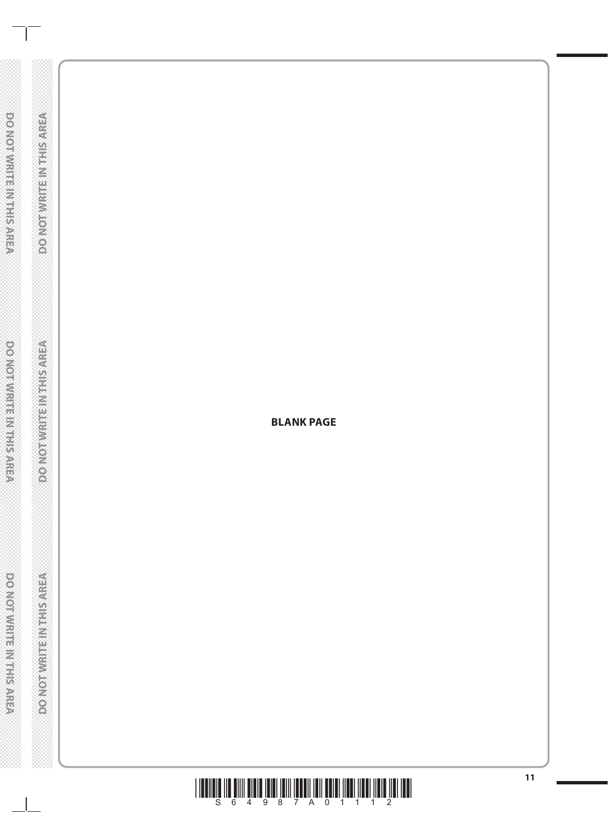|   |    | ∸ |                         |  |  |  |
|---|----|---|-------------------------|--|--|--|
|   |    |   |                         |  |  |  |
|   |    |   |                         |  |  |  |
|   |    |   |                         |  |  |  |
|   |    |   |                         |  |  |  |
|   |    |   |                         |  |  |  |
|   |    |   | Q                       |  |  |  |
|   |    |   |                         |  |  |  |
|   |    | ₩ |                         |  |  |  |
|   |    |   |                         |  |  |  |
|   | é  |   |                         |  |  |  |
|   |    |   |                         |  |  |  |
|   |    |   |                         |  |  |  |
|   |    |   | Ó                       |  |  |  |
|   |    |   |                         |  |  |  |
|   |    |   |                         |  |  |  |
|   |    |   |                         |  |  |  |
|   |    |   |                         |  |  |  |
|   |    |   |                         |  |  |  |
|   |    | ê |                         |  |  |  |
|   |    |   |                         |  |  |  |
|   | é  |   |                         |  |  |  |
|   |    |   |                         |  |  |  |
|   |    |   |                         |  |  |  |
|   |    |   |                         |  |  |  |
|   |    |   |                         |  |  |  |
|   |    |   |                         |  |  |  |
|   |    |   |                         |  |  |  |
|   |    |   |                         |  |  |  |
|   |    |   |                         |  |  |  |
|   |    |   |                         |  |  |  |
|   |    |   |                         |  |  |  |
|   |    |   |                         |  |  |  |
|   |    |   |                         |  |  |  |
|   |    |   |                         |  |  |  |
|   | ≚  |   |                         |  |  |  |
|   |    |   |                         |  |  |  |
|   |    |   |                         |  |  |  |
|   |    |   |                         |  |  |  |
|   |    |   | $\overline{\mathbf{z}}$ |  |  |  |
|   |    |   |                         |  |  |  |
|   |    |   |                         |  |  |  |
|   |    |   | ⇔                       |  |  |  |
|   |    |   |                         |  |  |  |
|   |    |   |                         |  |  |  |
|   |    |   |                         |  |  |  |
|   |    |   |                         |  |  |  |
|   |    |   |                         |  |  |  |
|   |    |   |                         |  |  |  |
|   |    |   | za<br>12                |  |  |  |
|   |    |   |                         |  |  |  |
|   |    |   |                         |  |  |  |
|   |    |   |                         |  |  |  |
|   |    |   |                         |  |  |  |
|   |    |   | ě                       |  |  |  |
|   | ř. |   |                         |  |  |  |
| j |    |   |                         |  |  |  |
|   |    |   |                         |  |  |  |
|   |    |   |                         |  |  |  |
|   |    |   |                         |  |  |  |
|   |    |   |                         |  |  |  |
|   |    |   |                         |  |  |  |
| Ì |    |   |                         |  |  |  |
|   |    |   |                         |  |  |  |
|   |    |   |                         |  |  |  |
|   |    |   |                         |  |  |  |
|   |    |   |                         |  |  |  |
|   |    |   |                         |  |  |  |
|   |    |   |                         |  |  |  |
|   |    |   |                         |  |  |  |

**DONOTWRITE INTHISAREA** 

 $\overline{\phantom{a}}$ 

**DO NOT WRITE IN THIS AREA DO NOT WRITE IN THIS AREA DO NOT WRITE IN THIS AREA** DO NOTWRITE IN THIS AREA

DONOTWRITEINTHSAREA

**BLANK PAGE**